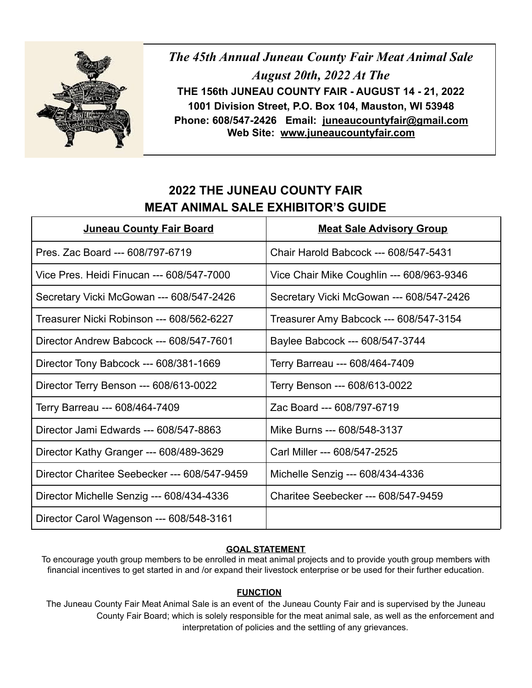

*The 45th Annual Juneau County Fair Meat Animal Sale August 20th, 2022 At The* **THE 156th JUNEAU COUNTY FAIR - AUGUST 14 - 21, 2022 1001 Division Street, P.O. Box 104, Mauston, WI 53948 Phone: 608/547-2426 Email: [juneaucountyfair@gmail.com](mailto:juneaucountyfair@gmail.com) Web Site: [www.juneaucountyf](http://www.juneaucounty/)air.com**

# **2022 THE JUNEAU COUNTY FAIR MEAT ANIMAL SALE EXHIBITOR'S GUIDE**

| Juneau County Fair Board                     | <b>Meat Sale Advisory Group</b>           |
|----------------------------------------------|-------------------------------------------|
| Pres. Zac Board --- 608/797-6719             | Chair Harold Babcock --- 608/547-5431     |
| Vice Pres. Heidi Finucan --- 608/547-7000    | Vice Chair Mike Coughlin --- 608/963-9346 |
| Secretary Vicki McGowan --- 608/547-2426     | Secretary Vicki McGowan --- 608/547-2426  |
| Treasurer Nicki Robinson --- 608/562-6227    | Treasurer Amy Babcock --- 608/547-3154    |
| Director Andrew Babcock --- 608/547-7601     | Baylee Babcock --- 608/547-3744           |
| Director Tony Babcock --- 608/381-1669       | Terry Barreau --- 608/464-7409            |
| Director Terry Benson --- 608/613-0022       | Terry Benson --- 608/613-0022             |
| Terry Barreau --- 608/464-7409               | Zac Board --- 608/797-6719                |
| Director Jami Edwards --- 608/547-8863       | Mike Burns --- 608/548-3137               |
| Director Kathy Granger --- 608/489-3629      | Carl Miller --- 608/547-2525              |
| Director Charitee Seebecker --- 608/547-9459 | Michelle Senzig --- 608/434-4336          |
| Director Michelle Senzig --- 608/434-4336    | Charitee Seebecker --- 608/547-9459       |
| Director Carol Wagenson --- 608/548-3161     |                                           |

## **GOAL STATEMENT**

To encourage youth group members to be enrolled in meat animal projects and to provide youth group members with financial incentives to get started in and /or expand their livestock enterprise or be used for their further education.

#### **FUNCTION**

The Juneau County Fair Meat Animal Sale is an event of the Juneau County Fair and is supervised by the Juneau County Fair Board; which is solely responsible for the meat animal sale, as well as the enforcement and interpretation of policies and the settling of any grievances.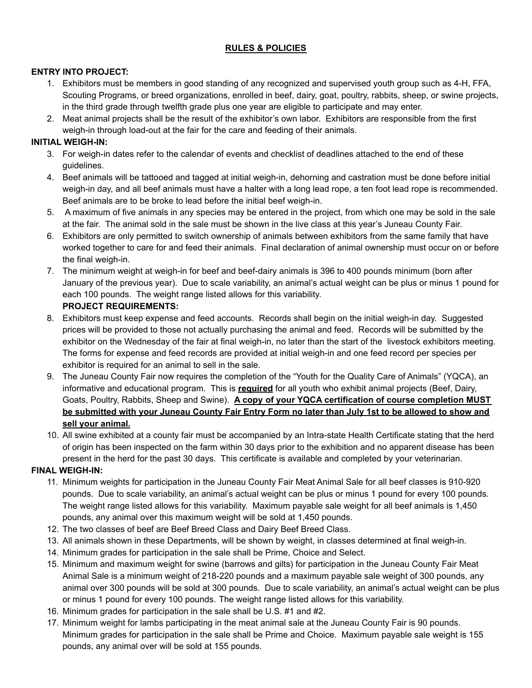### **RULES & POLICIES**

#### **ENTRY INTO PROJECT:**

- 1. Exhibitors must be members in good standing of any recognized and supervised youth group such as 4-H, FFA, Scouting Programs, or breed organizations, enrolled in beef, dairy, goat, poultry, rabbits, sheep, or swine projects, in the third grade through twelfth grade plus one year are eligible to participate and may enter.
- 2. Meat animal projects shall be the result of the exhibitor's own labor. Exhibitors are responsible from the first weigh-in through load-out at the fair for the care and feeding of their animals.

#### **INITIAL WEIGH-IN:**

- 3. For weigh-in dates refer to the calendar of events and checklist of deadlines attached to the end of these guidelines.
- 4. Beef animals will be tattooed and tagged at initial weigh-in, dehorning and castration must be done before initial weigh-in day, and all beef animals must have a halter with a long lead rope, a ten foot lead rope is recommended. Beef animals are to be broke to lead before the initial beef weigh-in.
- 5. A maximum of five animals in any species may be entered in the project, from which one may be sold in the sale at the fair. The animal sold in the sale must be shown in the live class at this year's Juneau County Fair.
- 6. Exhibitors are only permitted to switch ownership of animals between exhibitors from the same family that have worked together to care for and feed their animals. Final declaration of animal ownership must occur on or before the final weigh-in.
- 7. The minimum weight at weigh-in for beef and beef-dairy animals is 396 to 400 pounds minimum (born after January of the previous year). Due to scale variability, an animal's actual weight can be plus or minus 1 pound for each 100 pounds. The weight range listed allows for this variability.

### **PROJECT REQUIREMENTS:**

- 8. Exhibitors must keep expense and feed accounts. Records shall begin on the initial weigh-in day. Suggested prices will be provided to those not actually purchasing the animal and feed. Records will be submitted by the exhibitor on the Wednesday of the fair at final weigh-in, no later than the start of the livestock exhibitors meeting. The forms for expense and feed records are provided at initial weigh-in and one feed record per species per exhibitor is required for an animal to sell in the sale.
- 9. The Juneau County Fair now requires the completion of the "Youth for the Quality Care of Animals" (YQCA), an informative and educational program. This is **required** for all youth who exhibit animal projects (Beef, Dairy, Goats, Poultry, Rabbits, Sheep and Swine). **A copy of your YQCA certification of course completion MUST** be submitted with your Juneau County Fair Entry Form no later than July 1st to be allowed to show and **sell your animal.**
- 10. All swine exhibited at a county fair must be accompanied by an Intra-state Health Certificate stating that the herd of origin has been inspected on the farm within 30 days prior to the exhibition and no apparent disease has been present in the herd for the past 30 days. This certificate is available and completed by your veterinarian.

#### **FINAL WEIGH-IN:**

- 11. Minimum weights for participation in the Juneau County Fair Meat Animal Sale for all beef classes is 910-920 pounds. Due to scale variability, an animal's actual weight can be plus or minus 1 pound for every 100 pounds. The weight range listed allows for this variability. Maximum payable sale weight for all beef animals is 1,450 pounds, any animal over this maximum weight will be sold at 1,450 pounds.
- 12. The two classes of beef are Beef Breed Class and Dairy Beef Breed Class.
- 13. All animals shown in these Departments, will be shown by weight, in classes determined at final weigh-in.
- 14. Minimum grades for participation in the sale shall be Prime, Choice and Select.
- 15. Minimum and maximum weight for swine (barrows and gilts) for participation in the Juneau County Fair Meat Animal Sale is a minimum weight of 218-220 pounds and a maximum payable sale weight of 300 pounds, any animal over 300 pounds will be sold at 300 pounds. Due to scale variability, an animal's actual weight can be plus or minus 1 pound for every 100 pounds. The weight range listed allows for this variability.
- 16. Minimum grades for participation in the sale shall be U.S. #1 and #2.
- 17. Minimum weight for lambs participating in the meat animal sale at the Juneau County Fair is 90 pounds. Minimum grades for participation in the sale shall be Prime and Choice. Maximum payable sale weight is 155 pounds, any animal over will be sold at 155 pounds.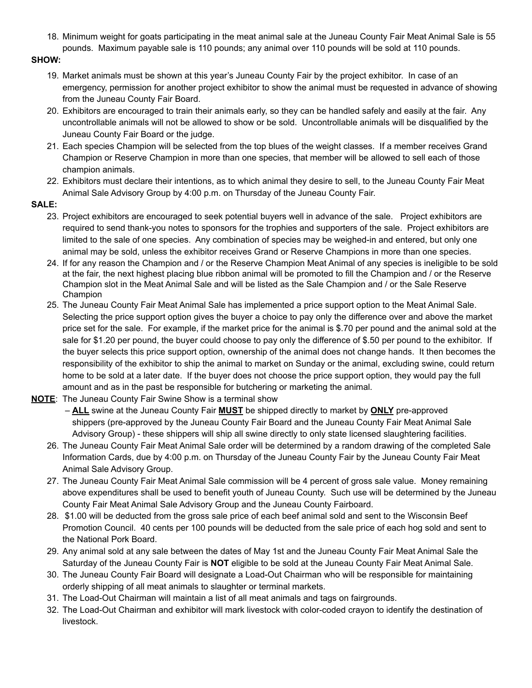18. Minimum weight for goats participating in the meat animal sale at the Juneau County Fair Meat Animal Sale is 55 pounds. Maximum payable sale is 110 pounds; any animal over 110 pounds will be sold at 110 pounds.

#### **SHOW:**

- 19. Market animals must be shown at this year's Juneau County Fair by the project exhibitor. In case of an emergency, permission for another project exhibitor to show the animal must be requested in advance of showing from the Juneau County Fair Board.
- 20. Exhibitors are encouraged to train their animals early, so they can be handled safely and easily at the fair. Any uncontrollable animals will not be allowed to show or be sold. Uncontrollable animals will be disqualified by the Juneau County Fair Board or the judge.
- 21. Each species Champion will be selected from the top blues of the weight classes. If a member receives Grand Champion or Reserve Champion in more than one species, that member will be allowed to sell each of those champion animals.
- 22. Exhibitors must declare their intentions, as to which animal they desire to sell, to the Juneau County Fair Meat Animal Sale Advisory Group by 4:00 p.m. on Thursday of the Juneau County Fair.

#### **SALE:**

- 23. Project exhibitors are encouraged to seek potential buyers well in advance of the sale. Project exhibitors are required to send thank-you notes to sponsors for the trophies and supporters of the sale. Project exhibitors are limited to the sale of one species. Any combination of species may be weighed-in and entered, but only one animal may be sold, unless the exhibitor receives Grand or Reserve Champions in more than one species.
- 24. If for any reason the Champion and / or the Reserve Champion Meat Animal of any species is ineligible to be sold at the fair, the next highest placing blue ribbon animal will be promoted to fill the Champion and / or the Reserve Champion slot in the Meat Animal Sale and will be listed as the Sale Champion and / or the Sale Reserve Champion
- 25. The Juneau County Fair Meat Animal Sale has implemented a price support option to the Meat Animal Sale. Selecting the price support option gives the buyer a choice to pay only the difference over and above the market price set for the sale. For example, if the market price for the animal is \$.70 per pound and the animal sold at the sale for \$1.20 per pound, the buyer could choose to pay only the difference of \$.50 per pound to the exhibitor. If the buyer selects this price support option, ownership of the animal does not change hands. It then becomes the responsibility of the exhibitor to ship the animal to market on Sunday or the animal, excluding swine, could return home to be sold at a later date. If the buyer does not choose the price support option, they would pay the full amount and as in the past be responsible for butchering or marketing the animal.
- **NOTE**: The Juneau County Fair Swine Show is a terminal show
	- **ALL** swine at the Juneau County Fair **MUST** be shipped directly to market by **ONLY** pre-approved shippers (pre-approved by the Juneau County Fair Board and the Juneau County Fair Meat Animal Sale Advisory Group) - these shippers will ship all swine directly to only state licensed slaughtering facilities.
	- 26. The Juneau County Fair Meat Animal Sale order will be determined by a random drawing of the completed Sale Information Cards, due by 4:00 p.m. on Thursday of the Juneau County Fair by the Juneau County Fair Meat Animal Sale Advisory Group.
	- 27. The Juneau County Fair Meat Animal Sale commission will be 4 percent of gross sale value. Money remaining above expenditures shall be used to benefit youth of Juneau County. Such use will be determined by the Juneau County Fair Meat Animal Sale Advisory Group and the Juneau County Fairboard.
	- 28. \$1.00 will be deducted from the gross sale price of each beef animal sold and sent to the Wisconsin Beef Promotion Council. 40 cents per 100 pounds will be deducted from the sale price of each hog sold and sent to the National Pork Board.
	- 29. Any animal sold at any sale between the dates of May 1st and the Juneau County Fair Meat Animal Sale the Saturday of the Juneau County Fair is **NOT** eligible to be sold at the Juneau County Fair Meat Animal Sale.
	- 30. The Juneau County Fair Board will designate a Load-Out Chairman who will be responsible for maintaining orderly shipping of all meat animals to slaughter or terminal markets.
	- 31. The Load-Out Chairman will maintain a list of all meat animals and tags on fairgrounds.
	- 32. The Load-Out Chairman and exhibitor will mark livestock with color-coded crayon to identify the destination of livestock.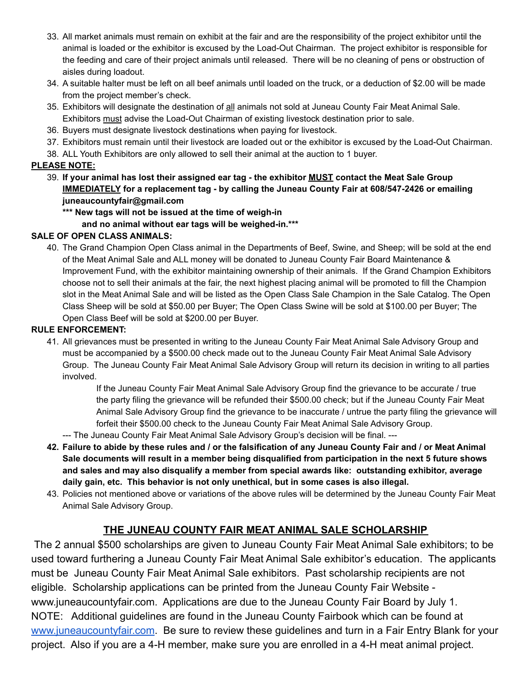- 33. All market animals must remain on exhibit at the fair and are the responsibility of the project exhibitor until the animal is loaded or the exhibitor is excused by the Load-Out Chairman. The project exhibitor is responsible for the feeding and care of their project animals until released. There will be no cleaning of pens or obstruction of aisles during loadout.
- 34. A suitable halter must be left on all beef animals until loaded on the truck, or a deduction of \$2.00 will be made from the project member's check.
- 35. Exhibitors will designate the destination of all animals not sold at Juneau County Fair Meat Animal Sale. Exhibitors must advise the Load-Out Chairman of existing livestock destination prior to sale.
- 36. Buyers must designate livestock destinations when paying for livestock.
- 37. Exhibitors must remain until their livestock are loaded out or the exhibitor is excused by the Load-Out Chairman.
- 38. ALL Youth Exhibitors are only allowed to sell their animal at the auction to 1 buyer.

#### **PLEASE NOTE:**

- 39. If your animal has lost their assigned ear tag the exhibitor MUST contact the Meat Sale Group **IMMEDIATELY for a replacement tag - by calling the Juneau County Fair at 608/547-2426 or emailing juneaucountyfair@gmail.com**
	- **\*\*\* New tags will not be issued at the time of weigh-in**

**and no animal without ear tags will be weighed-in.\*\*\***

#### **SALE OF OPEN CLASS ANIMALS:**

40. The Grand Champion Open Class animal in the Departments of Beef, Swine, and Sheep; will be sold at the end of the Meat Animal Sale and ALL money will be donated to Juneau County Fair Board Maintenance & Improvement Fund, with the exhibitor maintaining ownership of their animals. If the Grand Champion Exhibitors choose not to sell their animals at the fair, the next highest placing animal will be promoted to fill the Champion slot in the Meat Animal Sale and will be listed as the Open Class Sale Champion in the Sale Catalog. The Open Class Sheep will be sold at \$50.00 per Buyer; The Open Class Swine will be sold at \$100.00 per Buyer; The Open Class Beef will be sold at \$200.00 per Buyer.

#### **RULE ENFORCEMENT:**

41. All grievances must be presented in writing to the Juneau County Fair Meat Animal Sale Advisory Group and must be accompanied by a \$500.00 check made out to the Juneau County Fair Meat Animal Sale Advisory Group. The Juneau County Fair Meat Animal Sale Advisory Group will return its decision in writing to all parties involved.

> If the Juneau County Fair Meat Animal Sale Advisory Group find the grievance to be accurate / true the party filing the grievance will be refunded their \$500.00 check; but if the Juneau County Fair Meat Animal Sale Advisory Group find the grievance to be inaccurate / untrue the party filing the grievance will forfeit their \$500.00 check to the Juneau County Fair Meat Animal Sale Advisory Group.

- --- The Juneau County Fair Meat Animal Sale Advisory Group's decision will be final. ---
- 42. Failure to abide by these rules and / or the falsification of any Juneau County Fair and / or Meat Animal **Sale documents will result in a member being disqualified from participation in the next 5 future shows and sales and may also disqualify a member from special awards like: outstanding exhibitor, average daily gain, etc. This behavior is not only unethical, but in some cases is also illegal.**
- 43. Policies not mentioned above or variations of the above rules will be determined by the Juneau County Fair Meat Animal Sale Advisory Group.

## **THE JUNEAU COUNTY FAIR MEAT ANIMAL SALE SCHOLARSHIP**

The 2 annual \$500 scholarships are given to Juneau County Fair Meat Animal Sale exhibitors; to be used toward furthering a Juneau County Fair Meat Animal Sale exhibitor's education. The applicants must be Juneau County Fair Meat Animal Sale exhibitors. Past scholarship recipients are not eligible. Scholarship applications can be printed from the Juneau County Fair Website www.juneaucountyfair.com. Applications are due to the Juneau County Fair Board by July 1. NOTE: Additional guidelines are found in the Juneau County Fairbook which can be found at [www.juneaucountyfair.com](http://www.juneaucountyfair.com/). Be sure to review these guidelines and turn in a Fair Entry Blank for your project. Also if you are a 4-H member, make sure you are enrolled in a 4-H meat animal project.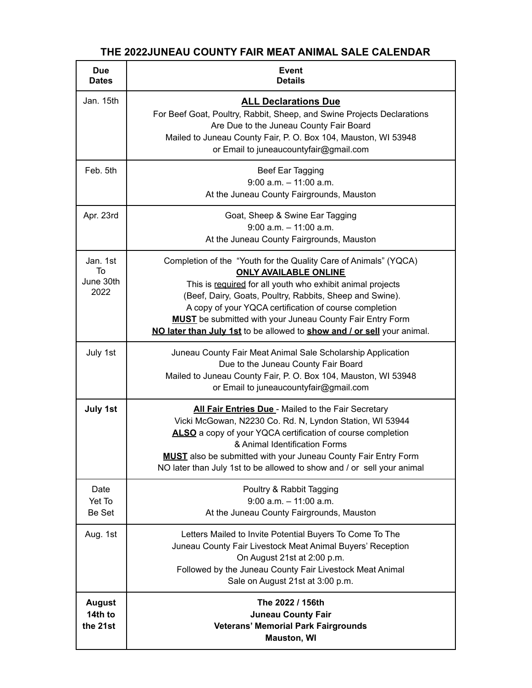# **THE 2022JUNEAU COUNTY FAIR MEAT ANIMAL SALE CALENDAR**

| <b>Due</b><br><b>Dates</b>           | Event<br><b>Details</b>                                                                                                                                                                                                                                                                                                                                                                                                             |
|--------------------------------------|-------------------------------------------------------------------------------------------------------------------------------------------------------------------------------------------------------------------------------------------------------------------------------------------------------------------------------------------------------------------------------------------------------------------------------------|
| Jan. 15th                            | <b>ALL Declarations Due</b><br>For Beef Goat, Poultry, Rabbit, Sheep, and Swine Projects Declarations<br>Are Due to the Juneau County Fair Board<br>Mailed to Juneau County Fair, P. O. Box 104, Mauston, WI 53948<br>or Email to juneaucountyfair@gmail.com                                                                                                                                                                        |
| Feb. 5th                             | Beef Ear Tagging<br>$9:00$ a.m. $-11:00$ a.m.<br>At the Juneau County Fairgrounds, Mauston                                                                                                                                                                                                                                                                                                                                          |
| Apr. 23rd                            | Goat, Sheep & Swine Ear Tagging<br>$9:00$ a.m. $-11:00$ a.m.<br>At the Juneau County Fairgrounds, Mauston                                                                                                                                                                                                                                                                                                                           |
| Jan. 1st<br>To<br>June 30th<br>2022  | Completion of the "Youth for the Quality Care of Animals" (YQCA)<br><b>ONLY AVAILABLE ONLINE</b><br>This is required for all youth who exhibit animal projects<br>(Beef, Dairy, Goats, Poultry, Rabbits, Sheep and Swine).<br>A copy of your YQCA certification of course completion<br><b>MUST</b> be submitted with your Juneau County Fair Entry Form<br>NO later than July 1st to be allowed to show and / or sell your animal. |
| July 1st                             | Juneau County Fair Meat Animal Sale Scholarship Application<br>Due to the Juneau County Fair Board<br>Mailed to Juneau County Fair, P. O. Box 104, Mauston, WI 53948<br>or Email to juneaucountyfair@gmail.com                                                                                                                                                                                                                      |
| July 1st                             | All Fair Entries Due - Mailed to the Fair Secretary<br>Vicki McGowan, N2230 Co. Rd. N, Lyndon Station, WI 53944<br>ALSO a copy of your YQCA certification of course completion<br>& Animal Identification Forms<br><b>MUST</b> also be submitted with your Juneau County Fair Entry Form<br>NO later than July 1st to be allowed to show and / or sell your animal                                                                  |
| Date<br>Yet To<br>Be Set             | Poultry & Rabbit Tagging<br>$9:00$ a.m. $-11:00$ a.m.<br>At the Juneau County Fairgrounds, Mauston                                                                                                                                                                                                                                                                                                                                  |
| Aug. 1st                             | Letters Mailed to Invite Potential Buyers To Come To The<br>Juneau County Fair Livestock Meat Animal Buyers' Reception<br>On August 21st at 2:00 p.m.<br>Followed by the Juneau County Fair Livestock Meat Animal<br>Sale on August 21st at 3:00 p.m.                                                                                                                                                                               |
| <b>August</b><br>14th to<br>the 21st | The 2022 / 156th<br><b>Juneau County Fair</b><br><b>Veterans' Memorial Park Fairgrounds</b><br><b>Mauston, WI</b>                                                                                                                                                                                                                                                                                                                   |